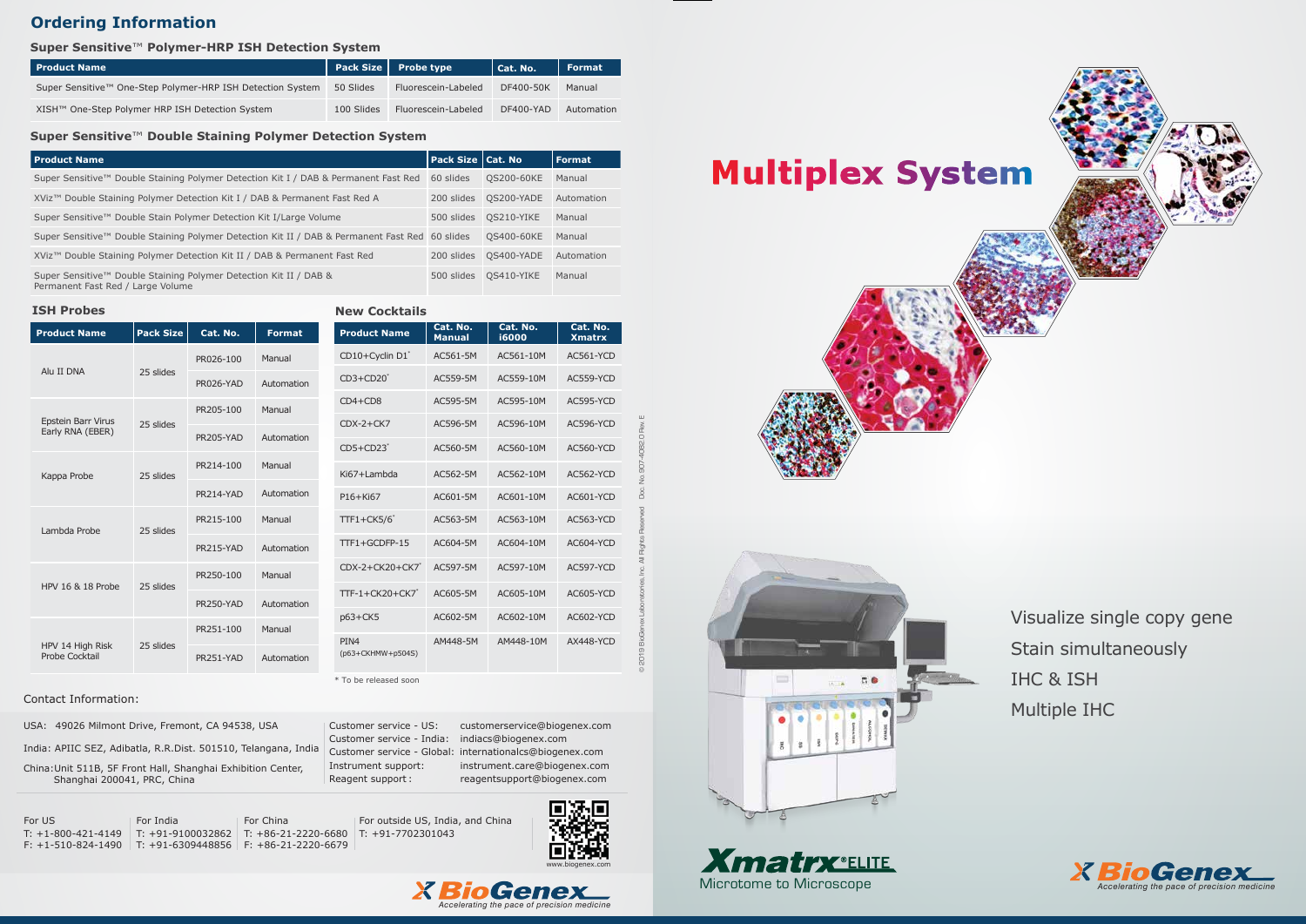Visualize single copy gene Stain simultaneously IHC & ISH Multiple IHC



| <b>Product Name</b>                                        |            | Pack Size   Probe type | Cat. No.  | <b>Format</b> |
|------------------------------------------------------------|------------|------------------------|-----------|---------------|
| Super Sensitive™ One-Step Polymer-HRP ISH Detection System | 50 Slides  | Fluorescein-Labeled    | DF400-50K | Manual        |
| XISH™ One-Step Polymer HRP ISH Detection System            | 100 Slides | Fluorescein-Labeled    | DF400-YAD | Automation    |

### **Super Sensitive**™ **Polymer-HRP ISH Detection System**

| <b>ISH Probes</b>                         |                  |                  |               | <b>New Cocktails</b>    |                     |                           |                   |
|-------------------------------------------|------------------|------------------|---------------|-------------------------|---------------------|---------------------------|-------------------|
| <b>Product Name</b>                       | <b>Pack Size</b> | Cat. No.         | <b>Format</b> |                         | <b>Product Name</b> | Cat. No.<br><b>Manual</b> | Cat. No.<br>i6000 |
| Alu II DNA                                | 25 slides        | PR026-100        | Manual        | CD10+Cyclin D1*         |                     | AC561-5M                  | AC561-10M         |
|                                           |                  | PR026-YAD        | Automation    | $CD3+CD20$ <sup>*</sup> |                     | AC559-5M                  | AC559-10M         |
|                                           |                  | PR205-100        | Manual        | $CD4 + CD8$             |                     | AC595-5M                  | AC595-10M         |
| Epstein Barr Virus<br>Early RNA (EBER)    | 25 slides        | PR205-YAD        | Automation    | $CDX-2+CK7$             |                     | AC596-5M                  | AC596-10M         |
|                                           |                  |                  |               | $CD5+CD23$ <sup>*</sup> |                     | AC560-5M                  | AC560-10M         |
| Kappa Probe                               | 25 slides        | PR214-100        | Manual        | Ki67+Lambda             |                     | AC562-5M                  | AC562-10M         |
|                                           |                  | PR214-YAD        | Automation    | $P16+Ki67$              |                     | AC601-5M                  | AC601-10M         |
| Lambda Probe                              | 25 slides        | PR215-100        | Manual        | $TTF1 + CK5/6$          |                     | AC563-5M                  | AC563-10M         |
|                                           |                  | PR215-YAD        | Automation    | TTF1+GCDFP-15           |                     | AC604-5M                  | AC604-10M         |
| HPV 16 & 18 Probe                         | 25 slides        | PR250-100        | Manual        | $CDX-2+CK20+CK7$        |                     | AC597-5M                  | AC597-10M         |
|                                           |                  | <b>PR250-YAD</b> | Automation    | TTF-1+CK20+CK7*         |                     | AC605-5M                  | AC605-10M         |
| HPV 14 High Risk<br><b>Probe Cocktail</b> | 25 slides        |                  |               | p63+CK5                 |                     | AC602-5M                  | AC602-10M         |
|                                           |                  | PR251-100        | Manual        | PIN4                    |                     | AM448-5M                  | AM448-10M         |
|                                           |                  | PR251-YAD        | Automation    | (p63+CKHMW+p504S)       |                     |                           |                   |

Instrument support: instrument.care@biogenex.com Reagent support : reagent support@biogenex.com

### **Super Sensitive**™ **Double Staining Polymer Detection System**

# **Ordering Information**

### **ISH Probes**

© 2019 BioGenex Laboratories, Inc. All Rights Reserved Doc. No. 907-4082.0 Rev. E

# **Multiplex System**











USA: 49026 Milmont Drive, Fremont, CA 94538, USA

India: APIIC SEZ, Adibatla, R.R.Dist. 501510, Telangana, India

China:Unit 511B, 5F Front Hall, Shanghai Exhibition Center, Shanghai 200041, PRC, China

Customer service - US: customerservice@biogenex.com

Customer service - India: indiacs@biogenex.com

Customer service - Global: internationalcs@biogenex.com

For US T: +1-800-421-4149 T: +91-9100032862 T: +86-21-2220-6680 T: +91-7702301043 F: +1-510-824-1490 T: +91-6309448856 F: +86-21-2220-6679 For India

For China

For outside US, India, and China

### Contact Information:



\* To be released soon

| l Product Name                                                                                         | <b>Pack Size Cat. No</b> |            | Format     |
|--------------------------------------------------------------------------------------------------------|--------------------------|------------|------------|
| Super Sensitive™ Double Staining Polymer Detection Kit I / DAB & Permanent Fast Red                    | 60 slides                | QS200-60KE | Manual     |
| XViz™ Double Staining Polymer Detection Kit I / DAB & Permanent Fast Red A                             | 200 slides               | QS200-YADE | Automation |
| Super Sensitive™ Double Stain Polymer Detection Kit I/Large Volume                                     | 500 slides               | QS210-YIKE | Manual     |
| Super Sensitive™ Double Staining Polymer Detection Kit II / DAB & Permanent Fast Red 60 slides         |                          | QS400-60KE | Manual     |
| XViz™ Double Staining Polymer Detection Kit II / DAB & Permanent Fast Red                              | 200 slides               | QS400-YADE | Automation |
| Super Sensitive™ Double Staining Polymer Detection Kit II / DAB &<br>Permanent Fast Red / Large Volume | 500 slides               | OS410-YIKE | Manual     |